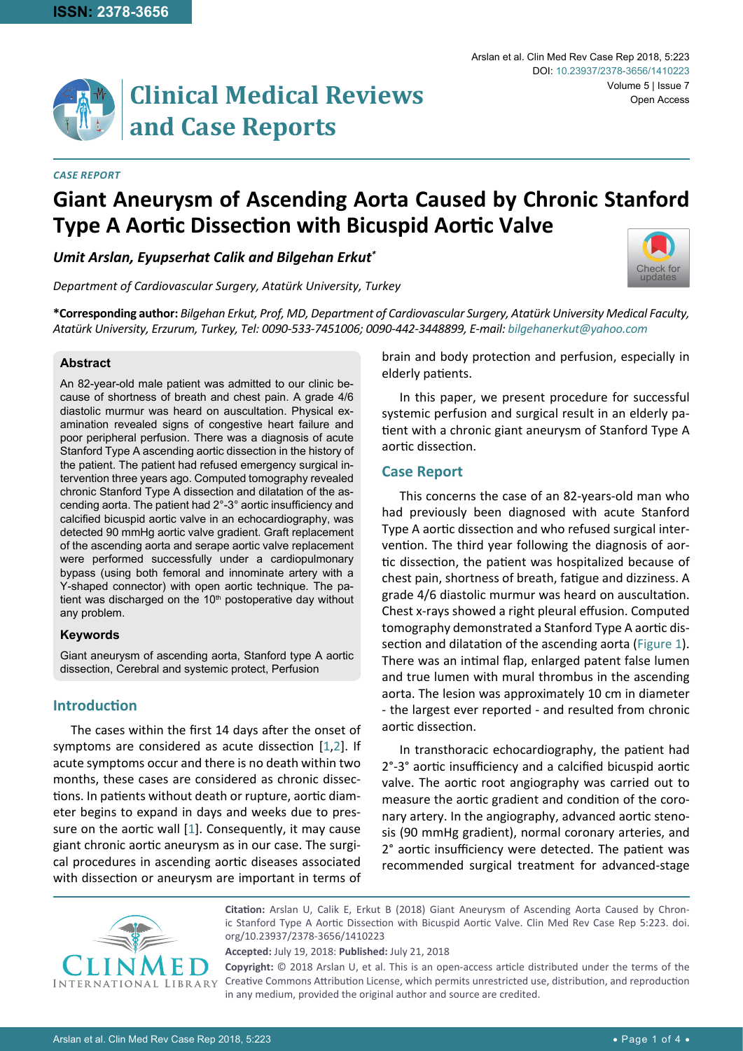

#### *Case Report*

# **Giant Aneurysm of Ascending Aorta Caused by Chronic Stanford Type A Aortic Dissection with Bicuspid Aortic Valve**

*Umit Arslan, Eyupserhat Calik and Bilgehan Erkut\**

*Department of Cardiovascular Surgery, Atatürk University, Turkey*

[Check for](http://crossmark.crossref.org/dialog/?doi=10.23937/2378-3656/1410223&domain=pdf) updates

**\*Corresponding author:** *Bilgehan Erkut, Prof, MD, Department of Cardiovascular Surgery, Atatürk University Medical Faculty, Atatürk University, Erzurum, Turkey, Tel: 0090-533-7451006; 0090-442-3448899, E-mail: bilgehanerkut@yahoo.com*

## **Abstract**

An 82-year-old male patient was admitted to our clinic because of shortness of breath and chest pain. A grade 4/6 diastolic murmur was heard on auscultation. Physical examination revealed signs of congestive heart failure and poor peripheral perfusion. There was a diagnosis of acute Stanford Type A ascending aortic dissection in the history of the patient. The patient had refused emergency surgical intervention three years ago. Computed tomography revealed chronic Stanford Type A dissection and dilatation of the ascending aorta. The patient had 2°-3° aortic insufficiency and calcified bicuspid aortic valve in an echocardiography, was detected 90 mmHg aortic valve gradient. Graft replacement of the ascending aorta and serape aortic valve replacement were performed successfully under a cardiopulmonary bypass (using both femoral and innominate artery with a Y-shaped connector) with open aortic technique. The patient was discharged on the 10<sup>th</sup> postoperative day without any problem.

### **Keywords**

Giant aneurysm of ascending aorta, Stanford type A aortic dissection, Cerebral and systemic protect, Perfusion

# **Introduction**

The cases within the first 14 days after the onset of symptoms are considered as acute dissection [[1,](#page-3-0)[2](#page-3-1)]. If acute symptoms occur and there is no death within two months, these cases are considered as chronic dissections. In patients without death or rupture, aortic diameter begins to expand in days and weeks due to pressure on the aortic wall [[1](#page-3-0)]. Consequently, it may cause giant chronic aortic aneurysm as in our case. The surgical procedures in ascending aortic diseases associated with dissection or aneurysm are important in terms of brain and body protection and perfusion, especially in elderly patients.

In this paper, we present procedure for successful systemic perfusion and surgical result in an elderly patient with a chronic giant aneurysm of Stanford Type A aortic dissection.

## **Case Report**

This concerns the case of an 82-years-old man who had previously been diagnosed with acute Stanford Type A aortic dissection and who refused surgical intervention. The third year following the diagnosis of aortic dissection, the patient was hospitalized because of chest pain, shortness of breath, fatigue and dizziness. A grade 4/6 diastolic murmur was heard on auscultation. Chest x-rays showed a right pleural effusion. Computed tomography demonstrated a Stanford Type A aortic dissection and dilatation of the ascending aorta ([Figure 1](#page-1-0)). There was an intimal flap, enlarged patent false lumen and true lumen with mural thrombus in the ascending aorta. The lesion was approximately 10 cm in diameter - the largest ever reported - and resulted from chronic aortic dissection.

In transthoracic echocardiography, the patient had 2°-3° aortic insufficiency and a calcified bicuspid aortic valve. The aortic root angiography was carried out to measure the aortic gradient and condition of the coronary artery. In the angiography, advanced aortic stenosis (90 mmHg gradient), normal coronary arteries, and 2° aortic insufficiency were detected. The patient was recommended surgical treatment for advanced-stage



**Citation:** Arslan U, Calik E, Erkut B (2018) Giant Aneurysm of Ascending Aorta Caused by Chronic Stanford Type A Aortic Dissection with Bicuspid Aortic Valve. Clin Med Rev Case Rep 5:223. [doi.](https://doi.org/10.23937/2378-3656/1410223) [org/10.23937/2378-3656/1410223](https://doi.org/10.23937/2378-3656/1410223)

**Accepted:** July 19, 2018: **Published:** July 21, 2018

**Copyright:** © 2018 Arslan U, et al. This is an open-access article distributed under the terms of the Creative Commons Attribution License, which permits unrestricted use, distribution, and reproduction in any medium, provided the original author and source are credited.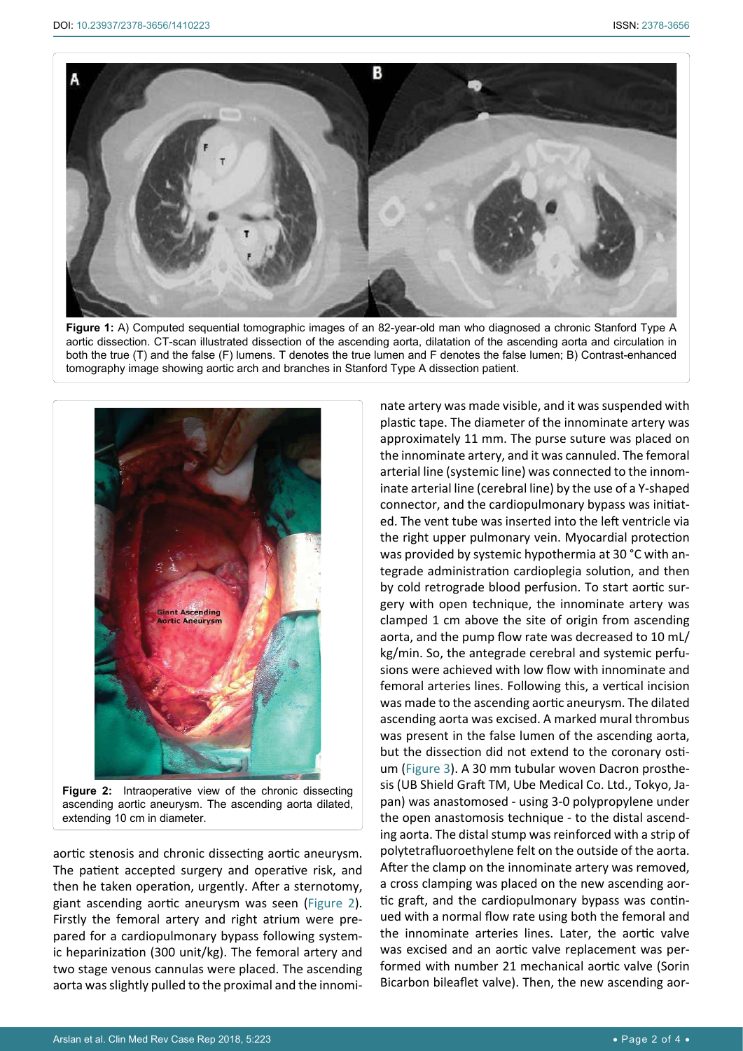<span id="page-1-0"></span>

**Figure 1:** A) Computed sequential tomographic images of an 82-year-old man who diagnosed a chronic Stanford Type A aortic dissection. CT-scan illustrated dissection of the ascending aorta, dilatation of the ascending aorta and circulation in both the true (T) and the false (F) lumens. T denotes the true lumen and F denotes the false lumen; B) Contrast-enhanced tomography image showing aortic arch and branches in Stanford Type A dissection patient.

<span id="page-1-1"></span>

ascending aortic aneurysm. The ascending aorta dilated, extending 10 cm in diameter.

aortic stenosis and chronic dissecting aortic aneurysm. The patient accepted surgery and operative risk, and then he taken operation, urgently. After a sternotomy, giant ascending aortic aneurysm was seen ([Figure 2](#page-1-1)). Firstly the femoral artery and right atrium were prepared for a cardiopulmonary bypass following systemic heparinization (300 unit/kg). The femoral artery and two stage venous cannulas were placed. The ascending aorta was slightly pulled to the proximal and the innominate artery was made visible, and it was suspended with plastic tape. The diameter of the innominate artery was approximately 11 mm. The purse suture was placed on the innominate artery, and it was cannuled. The femoral arterial line (systemic line) was connected to the innominate arterial line (cerebral line) by the use of a Y-shaped connector, and the cardiopulmonary bypass was initiated. The vent tube was inserted into the left ventricle via the right upper pulmonary vein. Myocardial protection was provided by systemic hypothermia at 30 °C with antegrade administration cardioplegia solution, and then by cold retrograde blood perfusion. To start aortic surgery with open technique, the innominate artery was clamped 1 cm above the site of origin from ascending aorta, and the pump flow rate was decreased to 10 mL/ kg/min. So, the antegrade cerebral and systemic perfusions were achieved with low flow with innominate and femoral arteries lines. Following this, a vertical incision was made to the ascending aortic aneurysm. The dilated ascending aorta was excised. A marked mural thrombus was present in the false lumen of the ascending aorta, but the dissection did not extend to the coronary ostium ([Figure 3](#page-2-0)). A 30 mm tubular woven Dacron prosthesis (UB Shield Graft TM, Ube Medical Co. Ltd., Tokyo, Japan) was anastomosed - using 3-0 polypropylene under the open anastomosis technique - to the distal ascending aorta. The distal stump was reinforced with a strip of polytetrafluoroethylene felt on the outside of the aorta. After the clamp on the innominate artery was removed, a cross clamping was placed on the new ascending aortic graft, and the cardiopulmonary bypass was continued with a normal flow rate using both the femoral and the innominate arteries lines. Later, the aortic valve was excised and an aortic valve replacement was performed with number 21 mechanical aortic valve (Sorin Bicarbon bileaflet valve). Then, the new ascending aor-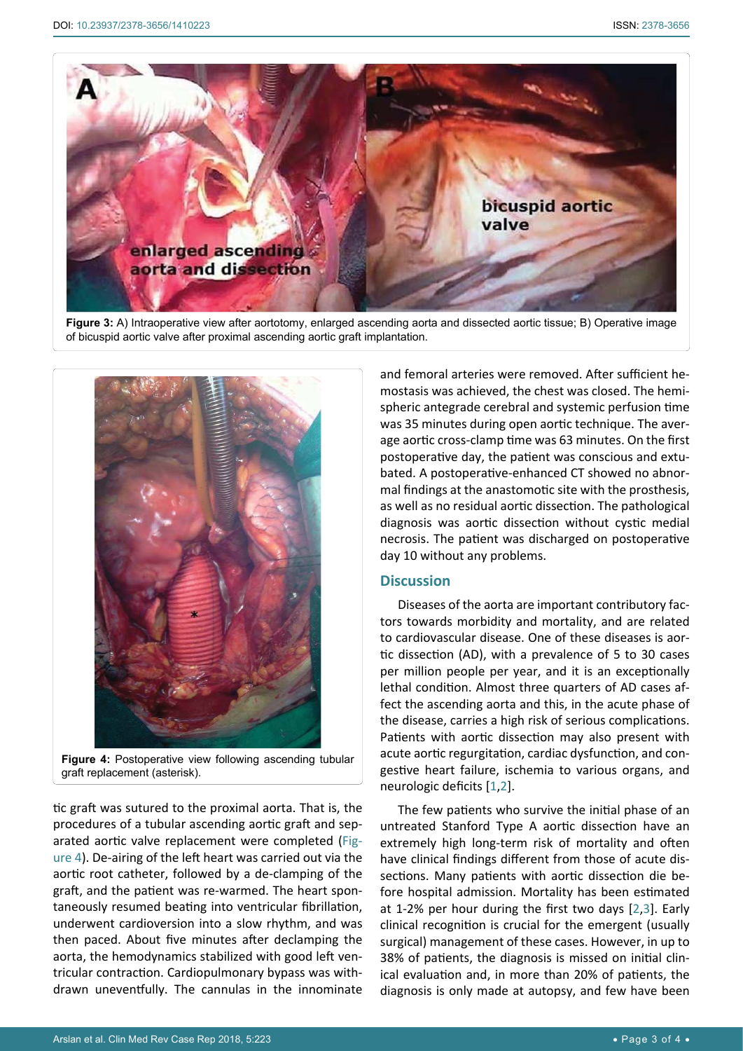<span id="page-2-0"></span>

**Figure 3:** A) Intraoperative view after aortotomy, enlarged ascending aorta and dissected aortic tissue; B) Operative image of bicuspid aortic valve after proximal ascending aortic graft implantation.

<span id="page-2-1"></span>

**Figure 4:** Postoperative view following ascending tubular graft replacement (asterisk).

tic graft was sutured to the proximal aorta. That is, the procedures of a tubular ascending aortic graft and separated aortic valve replacement were completed ([Fig](#page-2-1)[ure 4\)](#page-2-1). De-airing of the left heart was carried out via the aortic root catheter, followed by a de-clamping of the graft, and the patient was re-warmed. The heart spontaneously resumed beating into ventricular fibrillation, underwent cardioversion into a slow rhythm, and was then paced. About five minutes after declamping the aorta, the hemodynamics stabilized with good left ventricular contraction. Cardiopulmonary bypass was withdrawn uneventfully. The cannulas in the innominate

and femoral arteries were removed. After sufficient hemostasis was achieved, the chest was closed. The hemispheric antegrade cerebral and systemic perfusion time was 35 minutes during open aortic technique. The average aortic cross-clamp time was 63 minutes. On the first postoperative day, the patient was conscious and extubated. A postoperative-enhanced CT showed no abnormal findings at the anastomotic site with the prosthesis, as well as no residual aortic dissection. The pathological diagnosis was aortic dissection without cystic medial necrosis. The patient was discharged on postoperative day 10 without any problems.

# **Discussion**

Diseases of the aorta are important contributory factors towards morbidity and mortality, and are related to cardiovascular disease. One of these diseases is aortic dissection (AD), with a prevalence of 5 to 30 cases per million people per year, and it is an exceptionally lethal condition. Almost three quarters of AD cases affect the ascending aorta and this, in the acute phase of the disease, carries a high risk of serious complications. Patients with aortic dissection may also present with acute aortic regurgitation, cardiac dysfunction, and congestive heart failure, ischemia to various organs, and neurologic deficits [[1](#page-3-0),[2](#page-3-1)].

The few patients who survive the initial phase of an untreated Stanford Type A aortic dissection have an extremely high long-term risk of mortality and often have clinical findings different from those of acute dissections. Many patients with aortic dissection die before hospital admission. Mortality has been estimated at 1-2% per hour during the first two days [[2,](#page-3-1)[3](#page-3-2)]. Early clinical recognition is crucial for the emergent (usually surgical) management of these cases. However, in up to 38% of patients, the diagnosis is missed on initial clinical evaluation and, in more than 20% of patients, the diagnosis is only made at autopsy, and few have been